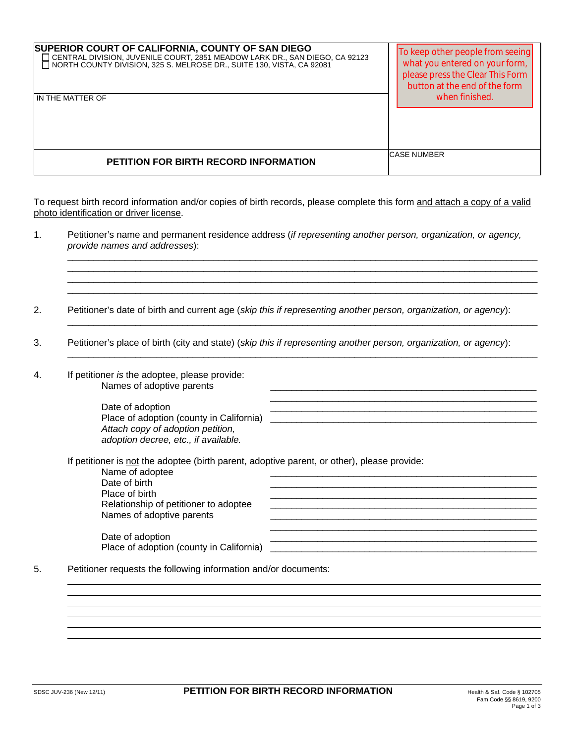| SUPERIOR COURT OF CALIFORNIA, COUNTY OF SAN DIEGO<br>— CENTRAL DIVISION, JUVENILE COURT, 2851 MEADOW LARK DR., SAN DIEGO, CA 92123<br>□ NORTH COUNTY DIVISION, 325 S. MELROSE DR., SUITE 130, VISTA, CA 92081<br>IN THE MATTER OF | To keep other people from seeing<br>what you entered on your form,<br>please press the Clear This Form<br>button at the end of the form<br>when finished. |
|-----------------------------------------------------------------------------------------------------------------------------------------------------------------------------------------------------------------------------------|-----------------------------------------------------------------------------------------------------------------------------------------------------------|
| PETITION FOR BIRTH RECORD INFORMATION                                                                                                                                                                                             | <b>CASE NUMBER</b>                                                                                                                                        |

To request birth record information and/or copies of birth records, please complete this form and attach a copy of a valid photo identification or driver license.

1. Petitioner's name and permanent residence address (*if representing another person, organization, or agency, provide names and addresses*): \_\_\_\_\_\_\_\_\_\_\_\_\_\_\_\_\_\_\_\_\_\_\_\_\_\_\_\_\_\_\_\_\_\_\_\_\_\_\_\_\_\_\_\_\_\_\_\_\_\_\_\_\_\_\_\_\_\_\_\_\_\_\_\_\_\_\_\_\_\_\_\_\_\_\_\_\_\_\_\_\_\_\_\_\_\_\_\_\_\_

\_\_\_\_\_\_\_\_\_\_\_\_\_\_\_\_\_\_\_\_\_\_\_\_\_\_\_\_\_\_\_\_\_\_\_\_\_\_\_\_\_\_\_\_\_\_\_\_\_\_\_\_\_\_\_\_\_\_\_\_\_\_\_\_\_\_\_\_\_\_\_\_\_\_\_\_\_\_\_\_\_\_\_\_\_\_\_\_\_\_ \_\_\_\_\_\_\_\_\_\_\_\_\_\_\_\_\_\_\_\_\_\_\_\_\_\_\_\_\_\_\_\_\_\_\_\_\_\_\_\_\_\_\_\_\_\_\_\_\_\_\_\_\_\_\_\_\_\_\_\_\_\_\_\_\_\_\_\_\_\_\_\_\_\_\_\_\_\_\_\_\_\_\_\_\_\_\_\_\_\_ \_\_\_\_\_\_\_\_\_\_\_\_\_\_\_\_\_\_\_\_\_\_\_\_\_\_\_\_\_\_\_\_\_\_\_\_\_\_\_\_\_\_\_\_\_\_\_\_\_\_\_\_\_\_\_\_\_\_\_\_\_\_\_\_\_\_\_\_\_\_\_\_\_\_\_\_\_\_\_\_\_\_\_\_\_\_\_\_\_\_

2. Petitioner's date of birth and current age (*skip this if representing another person, organization, or agency*):  $\mathcal{L}_\text{max} = \mathcal{L}_\text{max} = \mathcal{L}_\text{max} = \mathcal{L}_\text{max} = \mathcal{L}_\text{max} = \mathcal{L}_\text{max} = \mathcal{L}_\text{max} = \mathcal{L}_\text{max} = \mathcal{L}_\text{max} = \mathcal{L}_\text{max} = \mathcal{L}_\text{max} = \mathcal{L}_\text{max} = \mathcal{L}_\text{max} = \mathcal{L}_\text{max} = \mathcal{L}_\text{max} = \mathcal{L}_\text{max} = \mathcal{L}_\text{max} = \mathcal{L}_\text{max} = \mathcal{$ 

- 3. Petitioner's place of birth (city and state) (*skip this if representing another person, organization, or agency*):  $\mathcal{L}_\text{max} = \mathcal{L}_\text{max} = \mathcal{L}_\text{max} = \mathcal{L}_\text{max} = \mathcal{L}_\text{max} = \mathcal{L}_\text{max} = \mathcal{L}_\text{max} = \mathcal{L}_\text{max} = \mathcal{L}_\text{max} = \mathcal{L}_\text{max} = \mathcal{L}_\text{max} = \mathcal{L}_\text{max} = \mathcal{L}_\text{max} = \mathcal{L}_\text{max} = \mathcal{L}_\text{max} = \mathcal{L}_\text{max} = \mathcal{L}_\text{max} = \mathcal{L}_\text{max} = \mathcal{$
- 4. If petitioner *is* the adoptee, please provide: Names of adoptive parents

Date of adoption Place of adoption (county in California) *Attach copy of adoption petition, adoption decree, etc., if available.*

If petitioner is <u>not</u> the adoptee (birth parent, adoptive parent, or other), please provide:<br>Name of adoptee

| Name of adoptee                          |  |
|------------------------------------------|--|
| Date of birth                            |  |
| Place of birth                           |  |
| Relationship of petitioner to adoptee    |  |
| Names of adoptive parents                |  |
|                                          |  |
| Date of adoption                         |  |
| Place of adoption (county in California) |  |

5. Petitioner requests the following information and/or documents: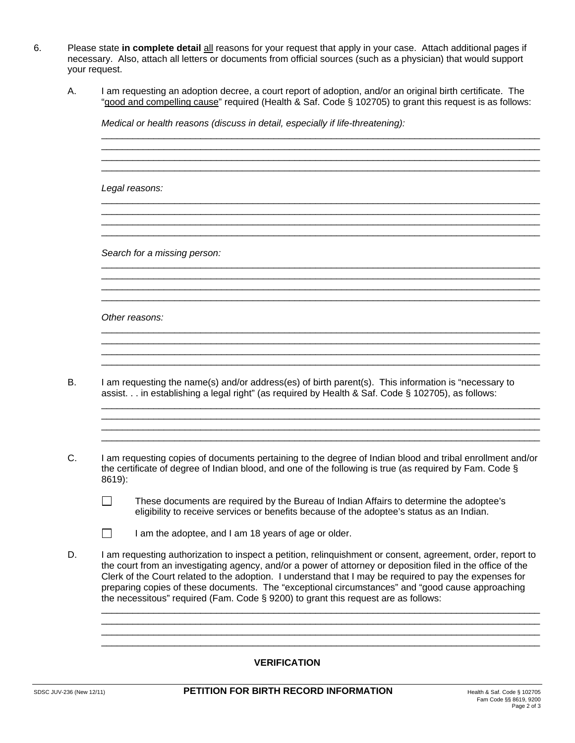- 6. Please state **in complete detail** all reasons for your request that apply in your case. Attach additional pages if necessary. Also, attach all letters or documents from official sources (such as a physician) that would support your request.
	- A. I am requesting an adoption decree, a court report of adoption, and/or an original birth certificate. The "good and compelling cause" required (Health & Saf. Code § 102705) to grant this request is as follows:

\_\_\_\_\_\_\_\_\_\_\_\_\_\_\_\_\_\_\_\_\_\_\_\_\_\_\_\_\_\_\_\_\_\_\_\_\_\_\_\_\_\_\_\_\_\_\_\_\_\_\_\_\_\_\_\_\_\_\_\_\_\_\_\_\_\_\_\_\_\_\_\_\_\_\_\_\_\_\_\_\_\_\_\_ \_\_\_\_\_\_\_\_\_\_\_\_\_\_\_\_\_\_\_\_\_\_\_\_\_\_\_\_\_\_\_\_\_\_\_\_\_\_\_\_\_\_\_\_\_\_\_\_\_\_\_\_\_\_\_\_\_\_\_\_\_\_\_\_\_\_\_\_\_\_\_\_\_\_\_\_\_\_\_\_\_\_\_\_ \_\_\_\_\_\_\_\_\_\_\_\_\_\_\_\_\_\_\_\_\_\_\_\_\_\_\_\_\_\_\_\_\_\_\_\_\_\_\_\_\_\_\_\_\_\_\_\_\_\_\_\_\_\_\_\_\_\_\_\_\_\_\_\_\_\_\_\_\_\_\_\_\_\_\_\_\_\_\_\_\_\_\_\_ \_\_\_\_\_\_\_\_\_\_\_\_\_\_\_\_\_\_\_\_\_\_\_\_\_\_\_\_\_\_\_\_\_\_\_\_\_\_\_\_\_\_\_\_\_\_\_\_\_\_\_\_\_\_\_\_\_\_\_\_\_\_\_\_\_\_\_\_\_\_\_\_\_\_\_\_\_\_\_\_\_\_\_\_

\_\_\_\_\_\_\_\_\_\_\_\_\_\_\_\_\_\_\_\_\_\_\_\_\_\_\_\_\_\_\_\_\_\_\_\_\_\_\_\_\_\_\_\_\_\_\_\_\_\_\_\_\_\_\_\_\_\_\_\_\_\_\_\_\_\_\_\_\_\_\_\_\_\_\_\_\_\_\_\_\_\_\_\_ \_\_\_\_\_\_\_\_\_\_\_\_\_\_\_\_\_\_\_\_\_\_\_\_\_\_\_\_\_\_\_\_\_\_\_\_\_\_\_\_\_\_\_\_\_\_\_\_\_\_\_\_\_\_\_\_\_\_\_\_\_\_\_\_\_\_\_\_\_\_\_\_\_\_\_\_\_\_\_\_\_\_\_\_

\_\_\_\_\_\_\_\_\_\_\_\_\_\_\_\_\_\_\_\_\_\_\_\_\_\_\_\_\_\_\_\_\_\_\_\_\_\_\_\_\_\_\_\_\_\_\_\_\_\_\_\_\_\_\_\_\_\_\_\_\_\_\_\_\_\_\_\_\_\_\_\_\_\_\_\_\_\_\_\_\_\_\_\_

\_\_\_\_\_\_\_\_\_\_\_\_\_\_\_\_\_\_\_\_\_\_\_\_\_\_\_\_\_\_\_\_\_\_\_\_\_\_\_\_\_\_\_\_\_\_\_\_\_\_\_\_\_\_\_\_\_\_\_\_\_\_\_\_\_\_\_\_\_\_\_\_\_\_\_\_\_\_\_\_\_\_\_\_ \_\_\_\_\_\_\_\_\_\_\_\_\_\_\_\_\_\_\_\_\_\_\_\_\_\_\_\_\_\_\_\_\_\_\_\_\_\_\_\_\_\_\_\_\_\_\_\_\_\_\_\_\_\_\_\_\_\_\_\_\_\_\_\_\_\_\_\_\_\_\_\_\_\_\_\_\_\_\_\_\_\_\_\_

\_\_\_\_\_\_\_\_\_\_\_\_\_\_\_\_\_\_\_\_\_\_\_\_\_\_\_\_\_\_\_\_\_\_\_\_\_\_\_\_\_\_\_\_\_\_\_\_\_\_\_\_\_\_\_\_\_\_\_\_\_\_\_\_\_\_\_\_\_\_\_\_\_\_\_\_\_\_\_\_\_\_\_\_

\_\_\_\_\_\_\_\_\_\_\_\_\_\_\_\_\_\_\_\_\_\_\_\_\_\_\_\_\_\_\_\_\_\_\_\_\_\_\_\_\_\_\_\_\_\_\_\_\_\_\_\_\_\_\_\_\_\_\_\_\_\_\_\_\_\_\_\_\_\_\_\_\_\_\_\_\_\_\_\_\_\_\_\_ \_\_\_\_\_\_\_\_\_\_\_\_\_\_\_\_\_\_\_\_\_\_\_\_\_\_\_\_\_\_\_\_\_\_\_\_\_\_\_\_\_\_\_\_\_\_\_\_\_\_\_\_\_\_\_\_\_\_\_\_\_\_\_\_\_\_\_\_\_\_\_\_\_\_\_\_\_\_\_\_\_\_\_\_

\_\_\_\_\_\_\_\_\_\_\_\_\_\_\_\_\_\_\_\_\_\_\_\_\_\_\_\_\_\_\_\_\_\_\_\_\_\_\_\_\_\_\_\_\_\_\_\_\_\_\_\_\_\_\_\_\_\_\_\_\_\_\_\_\_\_\_\_\_\_\_\_\_\_\_\_\_\_\_\_\_\_\_\_ \_\_\_\_\_\_\_\_\_\_\_\_\_\_\_\_\_\_\_\_\_\_\_\_\_\_\_\_\_\_\_\_\_\_\_\_\_\_\_\_\_\_\_\_\_\_\_\_\_\_\_\_\_\_\_\_\_\_\_\_\_\_\_\_\_\_\_\_\_\_\_\_\_\_\_\_\_\_\_\_\_\_\_\_

*Medical or health reasons (discuss in detail, especially if life-threatening):*

*Legal reasons:* 

*Search for a missing person:* 

*Other reasons:* 

B. I am requesting the name(s) and/or address(es) of birth parent(s). This information is "necessary to assist. . . in establishing a legal right" (as required by Health & Saf. Code § 102705), as follows:

\_\_\_\_\_\_\_\_\_\_\_\_\_\_\_\_\_\_\_\_\_\_\_\_\_\_\_\_\_\_\_\_\_\_\_\_\_\_\_\_\_\_\_\_\_\_\_\_\_\_\_\_\_\_\_\_\_\_\_\_\_\_\_\_\_\_\_\_\_\_\_\_\_\_\_\_\_\_\_\_\_\_\_\_

\_\_\_\_\_\_\_\_\_\_\_\_\_\_\_\_\_\_\_\_\_\_\_\_\_\_\_\_\_\_\_\_\_\_\_\_\_\_\_\_\_\_\_\_\_\_\_\_\_\_\_\_\_\_\_\_\_\_\_\_\_\_\_\_\_\_\_\_\_\_\_\_\_\_\_\_\_\_\_\_\_\_\_\_

C. I am requesting copies of documents pertaining to the degree of Indian blood and tribal enrollment and/or the certificate of degree of Indian blood, and one of the following is true (as required by Fam. Code § 8619):

 $\mathcal{L}_\text{max}$  , and the contribution of the contribution of the contribution of the contribution of the contribution of the contribution of the contribution of the contribution of the contribution of the contribution of t

 $\mathcal{L}_\text{max} = \frac{1}{2} \sum_{i=1}^{n} \frac{1}{2} \sum_{i=1}^{n} \frac{1}{2} \sum_{i=1}^{n} \frac{1}{2} \sum_{i=1}^{n} \frac{1}{2} \sum_{i=1}^{n} \frac{1}{2} \sum_{i=1}^{n} \frac{1}{2} \sum_{i=1}^{n} \frac{1}{2} \sum_{i=1}^{n} \frac{1}{2} \sum_{i=1}^{n} \frac{1}{2} \sum_{i=1}^{n} \frac{1}{2} \sum_{i=1}^{n} \frac{1}{2} \sum_{i=1}^{n} \frac{1$ 

- $\Box$  These documents are required by the Bureau of Indian Affairs to determine the adoptee's eligibility to receive services or benefits because of the adoptee's status as an Indian.
- $\Box$  I am the adoptee, and I am 18 years of age or older.
- D. I am requesting authorization to inspect a petition, relinquishment or consent, agreement, order, report to the court from an investigating agency, and/or a power of attorney or deposition filed in the office of the Clerk of the Court related to the adoption. I understand that I may be required to pay the expenses for preparing copies of these documents. The "exceptional circumstances" and "good cause approaching the necessitous" required (Fam. Code § 9200) to grant this request are as follows:

 $\Box$ \_\_\_\_\_\_\_\_\_\_\_\_\_\_\_\_\_\_\_\_\_\_\_\_\_\_\_\_\_\_\_\_\_\_\_\_\_\_\_\_\_\_\_\_\_\_\_\_\_\_\_\_\_\_\_\_\_\_\_\_\_\_\_\_\_\_\_\_\_\_\_\_\_\_\_\_\_\_\_\_\_\_\_\_  $\Box$ \_\_\_\_\_\_\_\_\_\_\_\_\_\_\_\_\_\_\_\_\_\_\_\_\_\_\_\_\_\_\_\_\_\_\_\_\_\_\_\_\_\_\_\_\_\_\_\_\_\_\_\_\_\_\_\_\_\_\_\_\_\_\_\_\_\_\_\_\_\_\_\_\_\_\_\_\_\_\_\_\_\_\_\_

## **VERIFICATION**